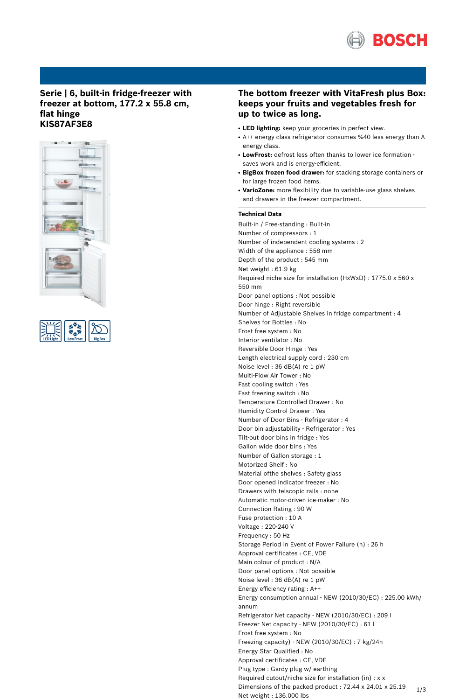

# **Serie | 6, built-in fridge-freezer with freezer at bottom, 177.2 x 55.8 cm, flat hinge KIS87AF3E8**





# **The bottom freezer with VitaFresh plus Box: keeps your fruits and vegetables fresh for up to twice as long.**

- **LED lighting:** keep your groceries in perfect view.
- A++ energy class refrigerator consumes %40 less energy than A energy class.
- LowFrost: defrost less often thanks to lower ice formation saves work and is energy-efficient.
- **BigBox frozen food drawer:** for stacking storage containers or for large frozen food items.
- **VarioZone:** more flexibility due to variable-use glass shelves and drawers in the freezer compartment.

## **Technical Data**

Built-in / Free-standing : Built-in Number of compressors : 1 Number of independent cooling systems : 2 Width of the appliance : 558 mm Depth of the product : 545 mm Net weight : 61.9 kg Required niche size for installation (HxWxD) : 1775.0 x 560 x 550 mm Door panel options : Not possible Door hinge : Right reversible Number of Adjustable Shelves in fridge compartment : 4 Shelves for Bottles : No Frost free system : No Interior ventilator : No Reversible Door Hinge : Yes Length electrical supply cord : 230 cm Noise level : 36 dB(A) re 1 pW Multi-Flow Air Tower : No Fast cooling switch : Yes Fast freezing switch : No Temperature Controlled Drawer : No Humidity Control Drawer : Yes Number of Door Bins - Refrigerator : 4 Door bin adjustability - Refrigerator : Yes Tilt-out door bins in fridge : Yes Gallon wide door bins : Yes Number of Gallon storage : 1 Motorized Shelf : No Material ofthe shelves : Safety glass Door opened indicator freezer : No Drawers with telscopic rails : none Automatic motor-driven ice-maker : No Connection Rating : 90 W Fuse protection : 10 A Voltage : 220-240 V Frequency : 50 Hz Storage Period in Event of Power Failure (h) : 26 h Approval certificates : CE, VDE Main colour of product : N/A Door panel options : Not possible Noise level : 36 dB(A) re 1 pW Energy efficiency rating : A++ Energy consumption annual - NEW (2010/30/EC) : 225.00 kWh/ annum Refrigerator Net capacity - NEW (2010/30/EC) : 209 l Freezer Net capacity - NEW (2010/30/EC) : 61 l Frost free system : No Freezing capacity) - NEW (2010/30/EC) : 7 kg/24h Energy Star Qualified : No Approval certificates : CE, VDE Plug type : Gardy plug w/ earthing Required cutout/niche size for installation (in) : x x Dimensions of the packed product : 72.44 x 24.01 x 25.19 Net weight : 136.000 lbs 1/3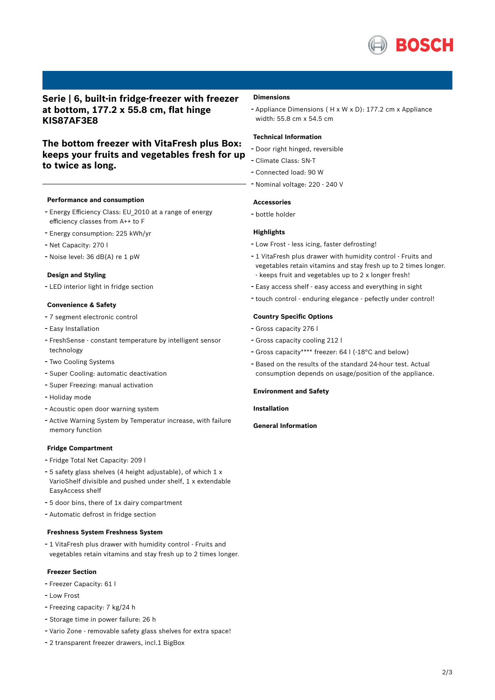

# **Serie | 6, built-in fridge-freezer with freezer at bottom, 177.2 x 55.8 cm, flat hinge KIS87AF3E8**

# **The bottom freezer with VitaFresh plus Box: keeps your fruits and vegetables fresh for up to twice as long.**

## **Performance and consumption**

- Energy Efficiency Class: EU\_2010 at <sup>a</sup> range of energy efficiency classes from A++ to F
- Energy consumption: <sup>225</sup> kWh/yr
- Net Capacity: <sup>270</sup> <sup>l</sup>
- Noise level: <sup>36</sup> dB(A) re <sup>1</sup> pW

#### **Design and Styling**

- LED interior light in fridge section

#### **Convenience & Safety**

- <sup>7</sup> segment electronic control
- Easy Installation
- FreshSense constant temperature by intelligent sensor technology
- Two Cooling Systems
- Super Cooling: automatic deactivation
- Super Freezing: manual activation
- Holiday mode
- Acoustic open door warning system
- Active Warning System by Temperatur increase, with failure memory function

#### **Fridge Compartment**

- Fridge Total Net Capacity: <sup>209</sup> <sup>l</sup>
- <sup>5</sup> safety glass shelves (4 height adjustable), of which <sup>1</sup> <sup>x</sup> VarioShelf divisible and pushed under shelf, 1 x extendable EasyAccess shelf
- <sup>5</sup> door bins, there of 1x dairy compartment
- Automatic defrost in fridge section

## **Freshness System Freshness System**

- <sup>1</sup> VitaFresh plus drawer with humidity control - Fruits and vegetables retain vitamins and stay fresh up to 2 times longer.

#### **Freezer Section**

- Freezer Capacity: <sup>61</sup> <sup>l</sup>
- Low Frost
- Freezing capacity: <sup>7</sup> kg/24 <sup>h</sup>
- Storage time in power failure: <sup>26</sup> <sup>h</sup>
- Vario Zone removable safety glass shelves for extra space!
- <sup>2</sup> transparent freezer drawers, incl.1 BigBox

## **Dimensions**

- Appliance Dimensions ( H x W x D): 177.2 cm x Appliance width: 55.8 cm x 54.5 cm

## **Technical Information**

- Door right hinged, reversible
- Climate Class: SN-T
- Connected load: <sup>90</sup> <sup>W</sup>
- Nominal voltage: <sup>220</sup> <sup>240</sup> <sup>V</sup>

#### **Accessories**

- bottle holder

## **Highlights**

- Low Frost less icing, faster defrosting!
- <sup>1</sup> VitaFresh plus drawer with humidity control Fruits and vegetables retain vitamins and stay fresh up to 2 times longer. - keeps fruit and vegetables up to 2 x longer fresh!
- Easy access shelf easy access and everything in sight
- touch control enduring elegance pefectly under control!

#### **Country Specific Options**

- Gross capacity <sup>276</sup> <sup>l</sup>
- Gross capacity cooling <sup>212</sup> <sup>l</sup>
- Gross capacity\*\*\*\* freezer: <sup>64</sup> <sup>l</sup> (-18°C and below)
- Based on the results of the standard 24-hour test. Actual consumption depends on usage/position of the appliance.

#### **Environment and Safety**

## **Installation**

## **General Information**